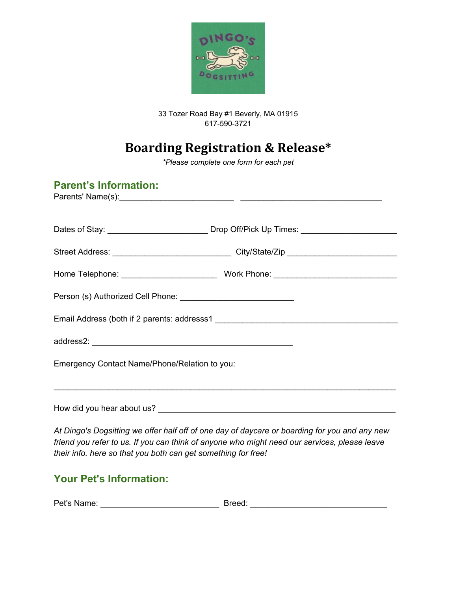

#### 33 Tozer Road Bay #1 Beverly, MA 01915 617-590-3721

# **Boarding Registration & Release\***

*\*Please complete one form for each pet*

| <b>Parent's Information:</b>                                                                                                      |                                                                                                      |  |  |
|-----------------------------------------------------------------------------------------------------------------------------------|------------------------------------------------------------------------------------------------------|--|--|
|                                                                                                                                   | Dates of Stay: ________________________________Drop Off/Pick Up Times: _____________________________ |  |  |
|                                                                                                                                   |                                                                                                      |  |  |
|                                                                                                                                   |                                                                                                      |  |  |
|                                                                                                                                   |                                                                                                      |  |  |
|                                                                                                                                   |                                                                                                      |  |  |
|                                                                                                                                   |                                                                                                      |  |  |
| Emergency Contact Name/Phone/Relation to you:<br>,我们也不能在这里的时候,我们也不能在这里的时候,我们也不能在这里的时候,我们也不能会在这里的时候,我们也不能会在这里的时候,我们也不能会在这里的时候,我们也不 |                                                                                                      |  |  |
|                                                                                                                                   |                                                                                                      |  |  |
|                                                                                                                                   | At Dingo's Donsitting we offer half off of one day of daycare or hoarding for you and any new        |  |  |

*At Dingo's Dogsitting we offer half off of one day of daycare or boarding for you and any new friend you refer to us. If you can think of anyone who might need our services, please leave their info. here so that you both can get something for free!* 

### **Your Pet's Information:**

| Pet's Name: | Breed: |
|-------------|--------|
|-------------|--------|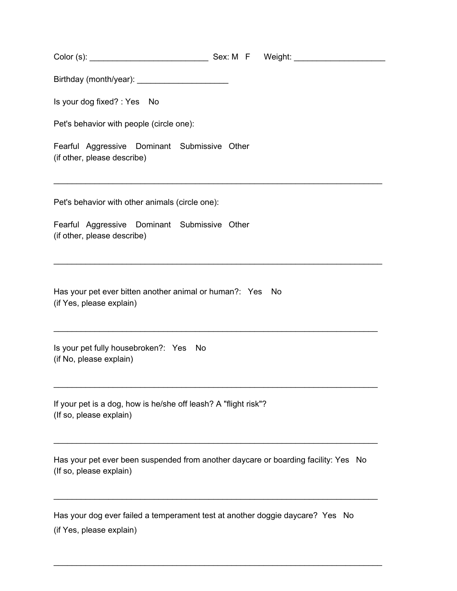Color (s): \_\_\_\_\_\_\_\_\_\_\_\_\_\_\_\_\_\_\_\_\_\_\_\_\_\_ Sex: M F Weight: \_\_\_\_\_\_\_\_\_\_\_\_\_\_\_\_\_\_\_\_

Birthday (month/year): \_\_\_\_\_\_\_\_\_\_\_\_\_\_\_\_\_\_\_\_

Is your dog fixed? : Yes No

Pet's behavior with people (circle one):

Fearful Aggressive Dominant Submissive Other (if other, please describe)

Pet's behavior with other animals (circle one):

Fearful Aggressive Dominant Submissive Other (if other, please describe)

Has your pet ever bitten another animal or human?: Yes No (if Yes, please explain)

Is your pet fully housebroken?: Yes No (if No, please explain)

If your pet is a dog, how is he/she off leash? A "flight risk"? (If so, please explain)

Has your pet ever been suspended from another daycare or boarding facility: Yes No (If so, please explain)

\_\_\_\_\_\_\_\_\_\_\_\_\_\_\_\_\_\_\_\_\_\_\_\_\_\_\_\_\_\_\_\_\_\_\_\_\_\_\_\_\_\_\_\_\_\_\_\_\_\_\_\_\_\_\_\_\_\_\_\_\_\_\_\_\_\_\_\_\_\_\_

\_\_\_\_\_\_\_\_\_\_\_\_\_\_\_\_\_\_\_\_\_\_\_\_\_\_\_\_\_\_\_\_\_\_\_\_\_\_\_\_\_\_\_\_\_\_\_\_\_\_\_\_\_\_\_\_\_\_\_\_\_\_\_\_\_\_\_\_\_\_\_\_

\_\_\_\_\_\_\_\_\_\_\_\_\_\_\_\_\_\_\_\_\_\_\_\_\_\_\_\_\_\_\_\_\_\_\_\_\_\_\_\_\_\_\_\_\_\_\_\_\_\_\_\_\_\_\_\_\_\_\_\_\_\_\_\_\_\_\_\_\_\_\_

\_\_\_\_\_\_\_\_\_\_\_\_\_\_\_\_\_\_\_\_\_\_\_\_\_\_\_\_\_\_\_\_\_\_\_\_\_\_\_\_\_\_\_\_\_\_\_\_\_\_\_\_\_\_\_\_\_\_\_\_\_\_\_\_\_\_\_\_\_\_\_\_

\_\_\_\_\_\_\_\_\_\_\_\_\_\_\_\_\_\_\_\_\_\_\_\_\_\_\_\_\_\_\_\_\_\_\_\_\_\_\_\_\_\_\_\_\_\_\_\_\_\_\_\_\_\_\_\_\_\_\_\_\_\_\_\_\_\_\_\_\_\_\_\_

\_\_\_\_\_\_\_\_\_\_\_\_\_\_\_\_\_\_\_\_\_\_\_\_\_\_\_\_\_\_\_\_\_\_\_\_\_\_\_\_\_\_\_\_\_\_\_\_\_\_\_\_\_\_\_\_\_\_\_\_\_\_\_\_\_\_\_\_\_\_\_

\_\_\_\_\_\_\_\_\_\_\_\_\_\_\_\_\_\_\_\_\_\_\_\_\_\_\_\_\_\_\_\_\_\_\_\_\_\_\_\_\_\_\_\_\_\_\_\_\_\_\_\_\_\_\_\_\_\_\_\_\_\_\_\_\_\_\_\_\_\_\_

Has your dog ever failed a temperament test at another doggie daycare? Yes No (if Yes, please explain)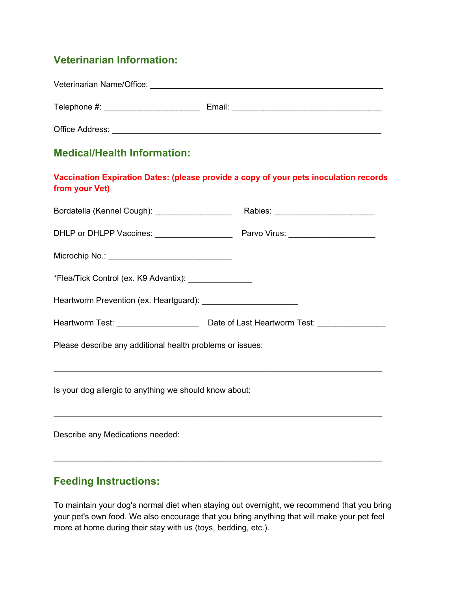## **Veterinarian Information:**

| Veterinarian Name/Office: |        |
|---------------------------|--------|
| Telephone #:              | Email: |
| Office Address:           |        |

#### **Medical/Health Information:**

| Vaccination Expiration Dates: (please provide a copy of your pets inoculation records |  |
|---------------------------------------------------------------------------------------|--|
| from your Vet)                                                                        |  |

| Bordatella (Kennel Cough): ___________________            |  |  |  |  |
|-----------------------------------------------------------|--|--|--|--|
|                                                           |  |  |  |  |
| Microchip No.: __________________________________         |  |  |  |  |
| *Flea/Tick Control (ex. K9 Advantix): ________________    |  |  |  |  |
|                                                           |  |  |  |  |
|                                                           |  |  |  |  |
| Please describe any additional health problems or issues: |  |  |  |  |
|                                                           |  |  |  |  |
| Is your dog allergic to anything we should know about:    |  |  |  |  |
|                                                           |  |  |  |  |

Describe any Medications needed:

#### **Feeding Instructions:**

To maintain your dog's normal diet when staying out overnight, we recommend that you bring your pet's own food. We also encourage that you bring anything that will make your pet feel more at home during their stay with us (toys, bedding, etc.).

\_\_\_\_\_\_\_\_\_\_\_\_\_\_\_\_\_\_\_\_\_\_\_\_\_\_\_\_\_\_\_\_\_\_\_\_\_\_\_\_\_\_\_\_\_\_\_\_\_\_\_\_\_\_\_\_\_\_\_\_\_\_\_\_\_\_\_\_\_\_\_\_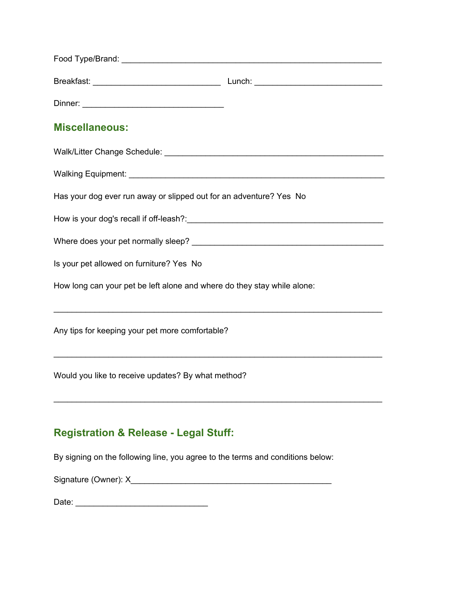| <b>Miscellaneous:</b>                                                          |  |  |  |  |
|--------------------------------------------------------------------------------|--|--|--|--|
|                                                                                |  |  |  |  |
|                                                                                |  |  |  |  |
| Has your dog ever run away or slipped out for an adventure? Yes No             |  |  |  |  |
|                                                                                |  |  |  |  |
|                                                                                |  |  |  |  |
| Is your pet allowed on furniture? Yes No                                       |  |  |  |  |
| How long can your pet be left alone and where do they stay while alone:        |  |  |  |  |
| Any tips for keeping your pet more comfortable?                                |  |  |  |  |
| Would you like to receive updates? By what method?                             |  |  |  |  |
| <b>Registration &amp; Release - Legal Stuff:</b>                               |  |  |  |  |
| By signing on the following line, you agree to the terms and conditions below: |  |  |  |  |
|                                                                                |  |  |  |  |

Date: \_\_\_\_\_\_\_\_\_\_\_\_\_\_\_\_\_\_\_\_\_\_\_\_\_\_\_\_\_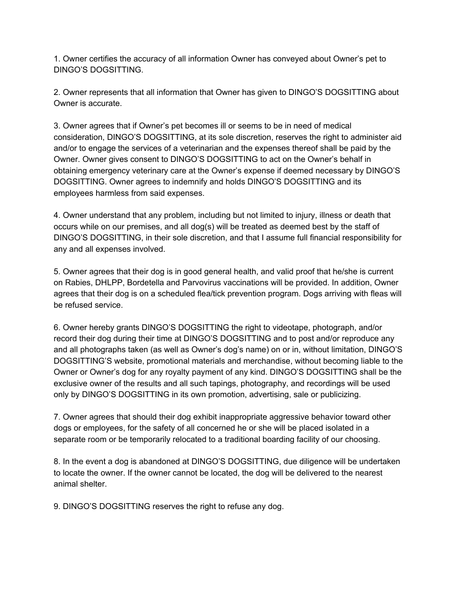1. Owner certifies the accuracy of all information Owner has conveyed about Owner's pet to DINGO'S DOGSITTING.

2. Owner represents that all information that Owner has given to DINGO'S DOGSITTING about Owner is accurate.

3. Owner agrees that if Owner's pet becomes ill or seems to be in need of medical consideration, DINGO'S DOGSITTING, at its sole discretion, reserves the right to administer aid and/or to engage the services of a veterinarian and the expenses thereof shall be paid by the Owner. Owner gives consent to DINGO'S DOGSITTING to act on the Owner's behalf in obtaining emergency veterinary care at the Owner's expense if deemed necessary by DINGO'S DOGSITTING. Owner agrees to indemnify and holds DINGO'S DOGSITTING and its employees harmless from said expenses.

4. Owner understand that any problem, including but not limited to injury, illness or death that occurs while on our premises, and all dog(s) will be treated as deemed best by the staff of DINGO'S DOGSITTING, in their sole discretion, and that I assume full financial responsibility for any and all expenses involved.

5. Owner agrees that their dog is in good general health, and valid proof that he/she is current on Rabies, DHLPP, Bordetella and Parvovirus vaccinations will be provided. In addition, Owner agrees that their dog is on a scheduled flea/tick prevention program. Dogs arriving with fleas will be refused service.

6. Owner hereby grants DINGO'S DOGSITTING the right to videotape, photograph, and/or record their dog during their time at DINGO'S DOGSITTING and to post and/or reproduce any and all photographs taken (as well as Owner's dog's name) on or in, without limitation, DINGO'S DOGSITTING'S website, promotional materials and merchandise, without becoming liable to the Owner or Owner's dog for any royalty payment of any kind. DINGO'S DOGSITTING shall be the exclusive owner of the results and all such tapings, photography, and recordings will be used only by DINGO'S DOGSITTING in its own promotion, advertising, sale or publicizing.

7. Owner agrees that should their dog exhibit inappropriate aggressive behavior toward other dogs or employees, for the safety of all concerned he or she will be placed isolated in a separate room or be temporarily relocated to a traditional boarding facility of our choosing.

8. In the event a dog is abandoned at DINGO'S DOGSITTING, due diligence will be undertaken to locate the owner. If the owner cannot be located, the dog will be delivered to the nearest animal shelter.

9. DINGO'S DOGSITTING reserves the right to refuse any dog.